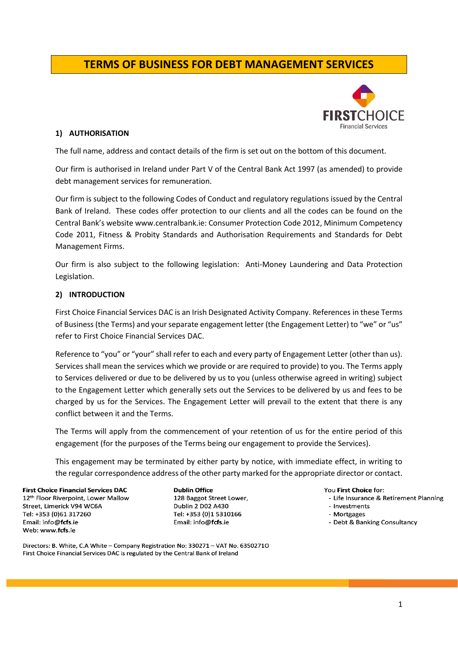# **TERMS OF BUSINESS FOR DEBT MANAGEMENT SERVICES**



#### **1) AUTHORISATION**

The full name, address and contact details of the firm is set out on the bottom of this document.

Our firm is authorised in Ireland under Part V of the Central Bank Act 1997 (as amended) to provide debt management services for remuneration.

Our firm is subject to the following Codes of Conduct and regulatory regulations issued by the Central Bank of Ireland. These codes offer protection to our clients and all the codes can be found on the Central Bank's website www.centralbank.ie: Consumer Protection Code 2012, Minimum Competency Code 2011, Fitness & Probity Standards and Authorisation Requirements and Standards for Debt Management Firms.

Our firm is also subject to the following legislation: Anti-Money Laundering and Data Protection Legislation.

#### **2) INTRODUCTION**

First Choice Financial Services DAC is an Irish Designated Activity Company. References in these Terms of Business (the Terms) and your separate engagement letter (the Engagement Letter) to "we" or "us" refer to First Choice Financial Services DAC.

Reference to "you" or "your" shall refer to each and every party of Engagement Letter (other than us). Services shall mean the services which we provide or are required to provide) to you. The Terms apply to Services delivered or due to be delivered by us to you (unless otherwise agreed in writing) subject to the Engagement Letter which generally sets out the Services to be delivered by us and fees to be charged by us for the Services. The Engagement Letter will prevail to the extent that there is any conflict between it and the Terms.

The Terms will apply from the commencement of your retention of us for the entire period of this engagement (for the purposes of the Terms being our engagement to provide the Services).

This engagement may be terminated by either party by notice, with immediate effect, in writing to the regular correspondence address of the other party marked for the appropriate director or contact.

**First Choice Financial Services DAC** 12th Floor Riverpoint, Lower Mallow Street, Limerick V94 WC6A Tel: +353 (0)61 317260 Email: info@fcfs.ie Web: www.fcfs.ie

**Dublin Office** 128 Baggot Street Lower, Dublin 2 D02 A430 Tel: +353 (0)1 5310166 Email: info@fcfs.ie

You First Choice for:

- Life Insurance & Retirement Planning
- Investments
- Mortgages
- Debt & Banking Consultancy

Directors: B. White, C.A White - Company Registration No: 330271 - VAT No. 63502710 First Choice Financial Services DAC is regulated by the Central Bank of Ireland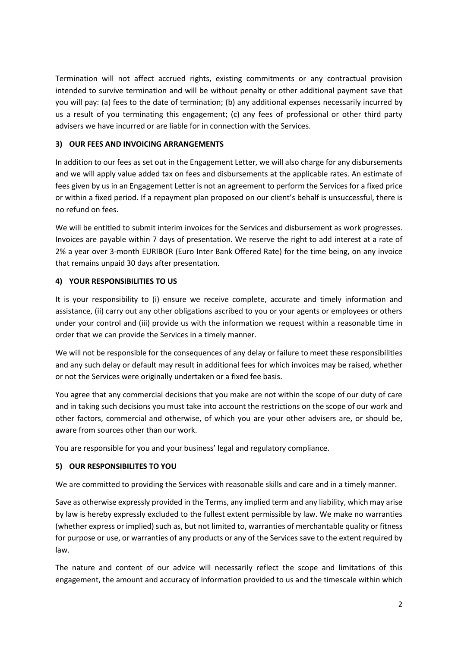Termination will not affect accrued rights, existing commitments or any contractual provision intended to survive termination and will be without penalty or other additional payment save that you will pay: (a) fees to the date of termination; (b) any additional expenses necessarily incurred by us a result of you terminating this engagement; (c) any fees of professional or other third party advisers we have incurred or are liable for in connection with the Services.

## **3) OUR FEES AND INVOICING ARRANGEMENTS**

In addition to our fees as set out in the Engagement Letter, we will also charge for any disbursements and we will apply value added tax on fees and disbursements at the applicable rates. An estimate of fees given by us in an Engagement Letter is not an agreement to perform the Services for a fixed price or within a fixed period. If a repayment plan proposed on our client's behalf is unsuccessful, there is no refund on fees.

We will be entitled to submit interim invoices for the Services and disbursement as work progresses. Invoices are payable within 7 days of presentation. We reserve the right to add interest at a rate of 2% a year over 3-month EURIBOR (Euro Inter Bank Offered Rate) for the time being, on any invoice that remains unpaid 30 days after presentation.

### **4) YOUR RESPONSIBILITIES TO US**

It is your responsibility to (i) ensure we receive complete, accurate and timely information and assistance, (ii) carry out any other obligations ascribed to you or your agents or employees or others under your control and (iii) provide us with the information we request within a reasonable time in order that we can provide the Services in a timely manner.

We will not be responsible for the consequences of any delay or failure to meet these responsibilities and any such delay or default may result in additional fees for which invoices may be raised, whether or not the Services were originally undertaken or a fixed fee basis.

You agree that any commercial decisions that you make are not within the scope of our duty of care and in taking such decisions you must take into account the restrictions on the scope of our work and other factors, commercial and otherwise, of which you are your other advisers are, or should be, aware from sources other than our work.

You are responsible for you and your business' legal and regulatory compliance.

# **5) OUR RESPONSIBILITES TO YOU**

We are committed to providing the Services with reasonable skills and care and in a timely manner.

Save as otherwise expressly provided in the Terms, any implied term and any liability, which may arise by law is hereby expressly excluded to the fullest extent permissible by law. We make no warranties (whether express or implied) such as, but not limited to, warranties of merchantable quality or fitness for purpose or use, or warranties of any products or any of the Services save to the extent required by law.

The nature and content of our advice will necessarily reflect the scope and limitations of this engagement, the amount and accuracy of information provided to us and the timescale within which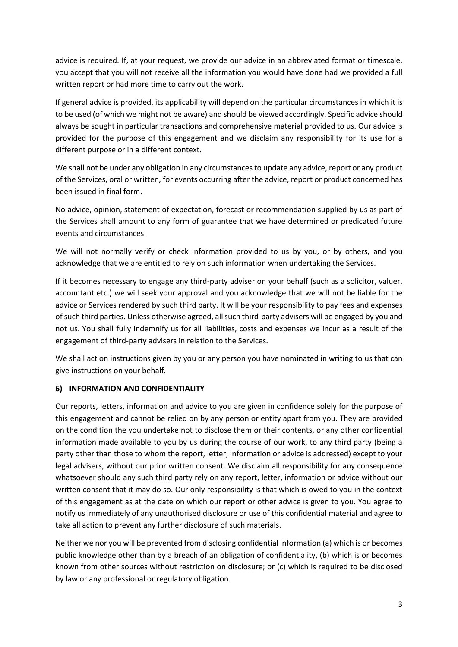advice is required. If, at your request, we provide our advice in an abbreviated format or timescale, you accept that you will not receive all the information you would have done had we provided a full written report or had more time to carry out the work.

If general advice is provided, its applicability will depend on the particular circumstances in which it is to be used (of which we might not be aware) and should be viewed accordingly. Specific advice should always be sought in particular transactions and comprehensive material provided to us. Our advice is provided for the purpose of this engagement and we disclaim any responsibility for its use for a different purpose or in a different context.

We shall not be under any obligation in any circumstances to update any advice, report or any product of the Services, oral or written, for events occurring after the advice, report or product concerned has been issued in final form.

No advice, opinion, statement of expectation, forecast or recommendation supplied by us as part of the Services shall amount to any form of guarantee that we have determined or predicated future events and circumstances.

We will not normally verify or check information provided to us by you, or by others, and you acknowledge that we are entitled to rely on such information when undertaking the Services.

If it becomes necessary to engage any third-party adviser on your behalf (such as a solicitor, valuer, accountant etc.) we will seek your approval and you acknowledge that we will not be liable for the advice or Services rendered by such third party. It will be your responsibility to pay fees and expenses of such third parties. Unless otherwise agreed, all such third-party advisers will be engaged by you and not us. You shall fully indemnify us for all liabilities, costs and expenses we incur as a result of the engagement of third-party advisers in relation to the Services.

We shall act on instructions given by you or any person you have nominated in writing to us that can give instructions on your behalf.

# **6) INFORMATION AND CONFIDENTIALITY**

Our reports, letters, information and advice to you are given in confidence solely for the purpose of this engagement and cannot be relied on by any person or entity apart from you. They are provided on the condition the you undertake not to disclose them or their contents, or any other confidential information made available to you by us during the course of our work, to any third party (being a party other than those to whom the report, letter, information or advice is addressed) except to your legal advisers, without our prior written consent. We disclaim all responsibility for any consequence whatsoever should any such third party rely on any report, letter, information or advice without our written consent that it may do so. Our only responsibility is that which is owed to you in the context of this engagement as at the date on which our report or other advice is given to you. You agree to notify us immediately of any unauthorised disclosure or use of this confidential material and agree to take all action to prevent any further disclosure of such materials.

Neither we nor you will be prevented from disclosing confidential information (a) which is or becomes public knowledge other than by a breach of an obligation of confidentiality, (b) which is or becomes known from other sources without restriction on disclosure; or (c) which is required to be disclosed by law or any professional or regulatory obligation.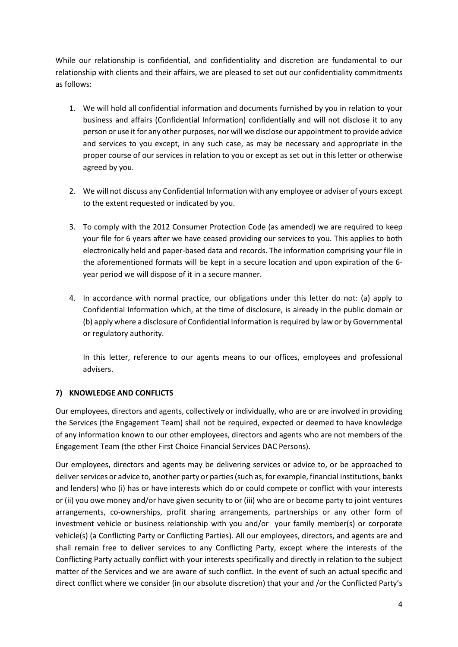While our relationship is confidential, and confidentiality and discretion are fundamental to our relationship with clients and their affairs, we are pleased to set out our confidentiality commitments as follows:

- 1. We will hold all confidential information and documents furnished by you in relation to your business and affairs (Confidential Information) confidentially and will not disclose it to any person or use it for any other purposes, nor will we disclose our appointment to provide advice and services to you except, in any such case, as may be necessary and appropriate in the proper course of our services in relation to you or except as set out in this letter or otherwise agreed by you.
- 2. We will not discuss any Confidential Information with any employee or adviser of yours except to the extent requested or indicated by you.
- 3. To comply with the 2012 Consumer Protection Code (as amended) we are required to keep your file for 6 years after we have ceased providing our services to you. This applies to both electronically held and paper-based data and records. The information comprising your file in the aforementioned formats will be kept in a secure location and upon expiration of the 6 year period we will dispose of it in a secure manner.
- 4. In accordance with normal practice, our obligations under this letter do not: (a) apply to Confidential Information which, at the time of disclosure, is already in the public domain or (b) apply where a disclosure of Confidential Information is required by law or by Governmental or regulatory authority.

In this letter, reference to our agents means to our offices, employees and professional advisers.

### **7) KNOWLEDGE AND CONFLICTS**

Our employees, directors and agents, collectively or individually, who are or are involved in providing the Services (the Engagement Team) shall not be required, expected or deemed to have knowledge of any information known to our other employees, directors and agents who are not members of the Engagement Team (the other First Choice Financial Services DAC Persons).

Our employees, directors and agents may be delivering services or advice to, or be approached to deliver services or advice to, another party or parties (such as, for example, financial institutions, banks and lenders) who (i) has or have interests which do or could compete or conflict with your interests or (ii) you owe money and/or have given security to or (iii) who are or become party to joint ventures arrangements, co-ownerships, profit sharing arrangements, partnerships or any other form of investment vehicle or business relationship with you and/or your family member(s) or corporate vehicle(s) (a Conflicting Party or Conflicting Parties). All our employees, directors, and agents are and shall remain free to deliver services to any Conflicting Party, except where the interests of the Conflicting Party actually conflict with your interests specifically and directly in relation to the subject matter of the Services and we are aware of such conflict. In the event of such an actual specific and direct conflict where we consider (in our absolute discretion) that your and /or the Conflicted Party's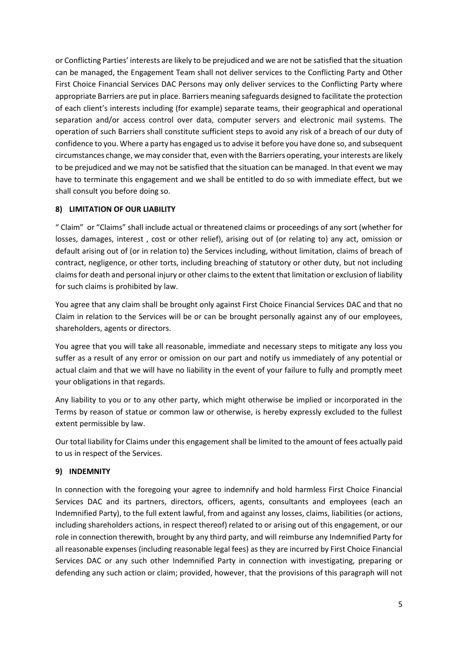or Conflicting Parties' interests are likely to be prejudiced and we are not be satisfied that the situation can be managed, the Engagement Team shall not deliver services to the Conflicting Party and Other First Choice Financial Services DAC Persons may only deliver services to the Conflicting Party where appropriate Barriers are put in place. Barriers meaning safeguards designed to facilitate the protection of each client's interests including (for example) separate teams, their geographical and operational separation and/or access control over data, computer servers and electronic mail systems. The operation of such Barriers shall constitute sufficient steps to avoid any risk of a breach of our duty of confidence to you. Where a party has engaged us to advise it before you have done so, and subsequent circumstances change, we may consider that, even with the Barriers operating, your interests are likely to be prejudiced and we may not be satisfied that the situation can be managed. In that event we may have to terminate this engagement and we shall be entitled to do so with immediate effect, but we shall consult you before doing so.

# **8) LIMITATION OF OUR LIABILITY**

" Claim" or "Claims" shall include actual or threatened claims or proceedings of any sort (whether for losses, damages, interest , cost or other relief), arising out of (or relating to) any act, omission or default arising out of (or in relation to) the Services including, without limitation, claims of breach of contract, negligence, or other torts, including breaching of statutory or other duty, but not including claims for death and personal injury or other claims to the extent that limitation or exclusion of liability for such claims is prohibited by law.

You agree that any claim shall be brought only against First Choice Financial Services DAC and that no Claim in relation to the Services will be or can be brought personally against any of our employees, shareholders, agents or directors.

You agree that you will take all reasonable, immediate and necessary steps to mitigate any loss you suffer as a result of any error or omission on our part and notify us immediately of any potential or actual claim and that we will have no liability in the event of your failure to fully and promptly meet your obligations in that regards.

Any liability to you or to any other party, which might otherwise be implied or incorporated in the Terms by reason of statue or common law or otherwise, is hereby expressly excluded to the fullest extent permissible by law.

Our total liability for Claims under this engagement shall be limited to the amount of fees actually paid to us in respect of the Services.

# **9) INDEMNITY**

In connection with the foregoing your agree to indemnify and hold harmless First Choice Financial Services DAC and its partners, directors, officers, agents, consultants and employees (each an Indemnified Party), to the full extent lawful, from and against any losses, claims, liabilities (or actions, including shareholders actions, in respect thereof) related to or arising out of this engagement, or our role in connection therewith, brought by any third party, and will reimburse any Indemnified Party for all reasonable expenses (including reasonable legal fees) as they are incurred by First Choice Financial Services DAC or any such other Indemnified Party in connection with investigating, preparing or defending any such action or claim; provided, however, that the provisions of this paragraph will not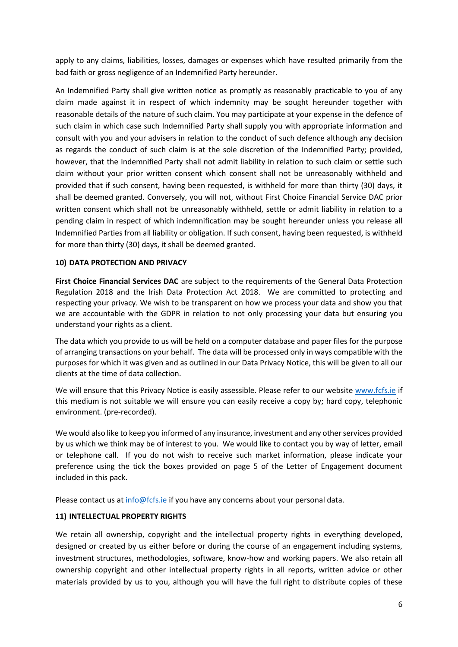apply to any claims, liabilities, losses, damages or expenses which have resulted primarily from the bad faith or gross negligence of an Indemnified Party hereunder.

An Indemnified Party shall give written notice as promptly as reasonably practicable to you of any claim made against it in respect of which indemnity may be sought hereunder together with reasonable details of the nature of such claim. You may participate at your expense in the defence of such claim in which case such Indemnified Party shall supply you with appropriate information and consult with you and your advisers in relation to the conduct of such defence although any decision as regards the conduct of such claim is at the sole discretion of the Indemnified Party; provided, however, that the Indemnified Party shall not admit liability in relation to such claim or settle such claim without your prior written consent which consent shall not be unreasonably withheld and provided that if such consent, having been requested, is withheld for more than thirty (30) days, it shall be deemed granted. Conversely, you will not, without First Choice Financial Service DAC prior written consent which shall not be unreasonably withheld, settle or admit liability in relation to a pending claim in respect of which indemnification may be sought hereunder unless you release all Indemnified Parties from all liability or obligation. If such consent, having been requested, is withheld for more than thirty (30) days, it shall be deemed granted.

#### **10) DATA PROTECTION AND PRIVACY**

**First Choice Financial Services DAC** are subject to the requirements of the General Data Protection Regulation 2018 and the Irish Data Protection Act 2018. We are committed to protecting and respecting your privacy. We wish to be transparent on how we process your data and show you that we are accountable with the GDPR in relation to not only processing your data but ensuring you understand your rights as a client.

The data which you provide to us will be held on a computer database and paper files for the purpose of arranging transactions on your behalf. The data will be processed only in ways compatible with the purposes for which it was given and as outlined in our Data Privacy Notice, this will be given to all our clients at the time of data collection.

We will ensure that this Privacy Notice is easily assessible. Please refer to our website [www.fcfs.ie](http://www.fcfs.ie/) if this medium is not suitable we will ensure you can easily receive a copy by; hard copy, telephonic environment. (pre-recorded).

We would also like to keep you informed of any insurance, investment and any other services provided by us which we think may be of interest to you. We would like to contact you by way of letter, email or telephone call. If you do not wish to receive such market information, please indicate your preference using the tick the boxes provided on page 5 of the Letter of Engagement document included in this pack.

Please contact us at [info@fcfs.ie](mailto:info@fcfs.ie) if you have any concerns about your personal data.

#### **11) INTELLECTUAL PROPERTY RIGHTS**

We retain all ownership, copyright and the intellectual property rights in everything developed, designed or created by us either before or during the course of an engagement including systems, investment structures, methodologies, software, know-how and working papers. We also retain all ownership copyright and other intellectual property rights in all reports, written advice or other materials provided by us to you, although you will have the full right to distribute copies of these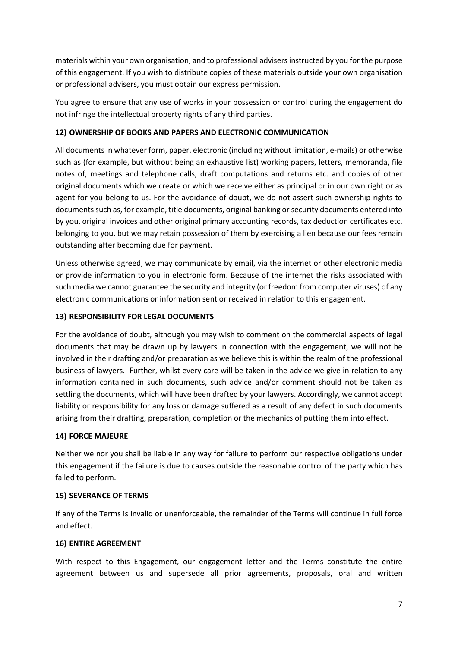materials within your own organisation, and to professional advisers instructed by you for the purpose of this engagement. If you wish to distribute copies of these materials outside your own organisation or professional advisers, you must obtain our express permission.

You agree to ensure that any use of works in your possession or control during the engagement do not infringe the intellectual property rights of any third parties.

### **12) OWNERSHIP OF BOOKS AND PAPERS AND ELECTRONIC COMMUNICATION**

All documents in whatever form, paper, electronic (including without limitation, e-mails) or otherwise such as (for example, but without being an exhaustive list) working papers, letters, memoranda, file notes of, meetings and telephone calls, draft computations and returns etc. and copies of other original documents which we create or which we receive either as principal or in our own right or as agent for you belong to us. For the avoidance of doubt, we do not assert such ownership rights to documents such as, for example, title documents, original banking or security documents entered into by you, original invoices and other original primary accounting records, tax deduction certificates etc. belonging to you, but we may retain possession of them by exercising a lien because our fees remain outstanding after becoming due for payment.

Unless otherwise agreed, we may communicate by email, via the internet or other electronic media or provide information to you in electronic form. Because of the internet the risks associated with such media we cannot guarantee the security and integrity (or freedom from computer viruses) of any electronic communications or information sent or received in relation to this engagement.

#### **13) RESPONSIBILITY FOR LEGAL DOCUMENTS**

For the avoidance of doubt, although you may wish to comment on the commercial aspects of legal documents that may be drawn up by lawyers in connection with the engagement, we will not be involved in their drafting and/or preparation as we believe this is within the realm of the professional business of lawyers. Further, whilst every care will be taken in the advice we give in relation to any information contained in such documents, such advice and/or comment should not be taken as settling the documents, which will have been drafted by your lawyers. Accordingly, we cannot accept liability or responsibility for any loss or damage suffered as a result of any defect in such documents arising from their drafting, preparation, completion or the mechanics of putting them into effect.

#### **14) FORCE MAJEURE**

Neither we nor you shall be liable in any way for failure to perform our respective obligations under this engagement if the failure is due to causes outside the reasonable control of the party which has failed to perform.

#### **15) SEVERANCE OF TERMS**

If any of the Terms is invalid or unenforceable, the remainder of the Terms will continue in full force and effect.

#### **16) ENTIRE AGREEMENT**

With respect to this Engagement, our engagement letter and the Terms constitute the entire agreement between us and supersede all prior agreements, proposals, oral and written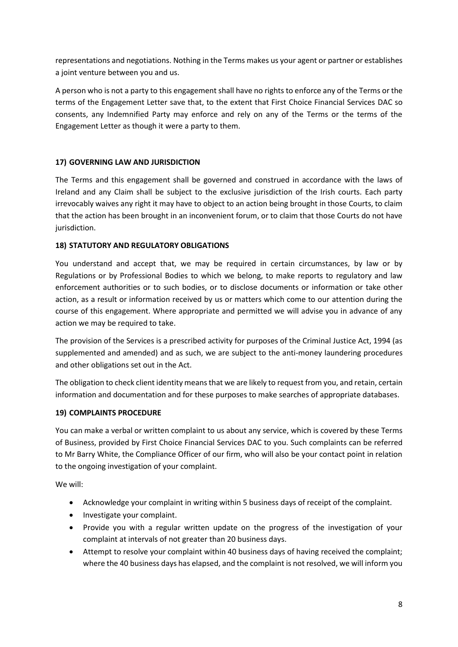representations and negotiations. Nothing in the Terms makes us your agent or partner or establishes a joint venture between you and us.

A person who is not a party to this engagement shall have no rights to enforce any of the Terms or the terms of the Engagement Letter save that, to the extent that First Choice Financial Services DAC so consents, any Indemnified Party may enforce and rely on any of the Terms or the terms of the Engagement Letter as though it were a party to them.

### **17) GOVERNING LAW AND JURISDICTION**

The Terms and this engagement shall be governed and construed in accordance with the laws of Ireland and any Claim shall be subject to the exclusive jurisdiction of the Irish courts. Each party irrevocably waives any right it may have to object to an action being brought in those Courts, to claim that the action has been brought in an inconvenient forum, or to claim that those Courts do not have jurisdiction.

### **18) STATUTORY AND REGULATORY OBLIGATIONS**

You understand and accept that, we may be required in certain circumstances, by law or by Regulations or by Professional Bodies to which we belong, to make reports to regulatory and law enforcement authorities or to such bodies, or to disclose documents or information or take other action, as a result or information received by us or matters which come to our attention during the course of this engagement. Where appropriate and permitted we will advise you in advance of any action we may be required to take.

The provision of the Services is a prescribed activity for purposes of the Criminal Justice Act, 1994 (as supplemented and amended) and as such, we are subject to the anti-money laundering procedures and other obligations set out in the Act.

The obligation to check client identity means that we are likely to request from you, and retain, certain information and documentation and for these purposes to make searches of appropriate databases.

### **19) COMPLAINTS PROCEDURE**

You can make a verbal or written complaint to us about any service, which is covered by these Terms of Business, provided by First Choice Financial Services DAC to you. Such complaints can be referred to Mr Barry White, the Compliance Officer of our firm, who will also be your contact point in relation to the ongoing investigation of your complaint.

We will:

- Acknowledge your complaint in writing within 5 business days of receipt of the complaint.
- Investigate your complaint.
- Provide you with a regular written update on the progress of the investigation of your complaint at intervals of not greater than 20 business days.
- Attempt to resolve your complaint within 40 business days of having received the complaint; where the 40 business days has elapsed, and the complaint is not resolved, we will inform you